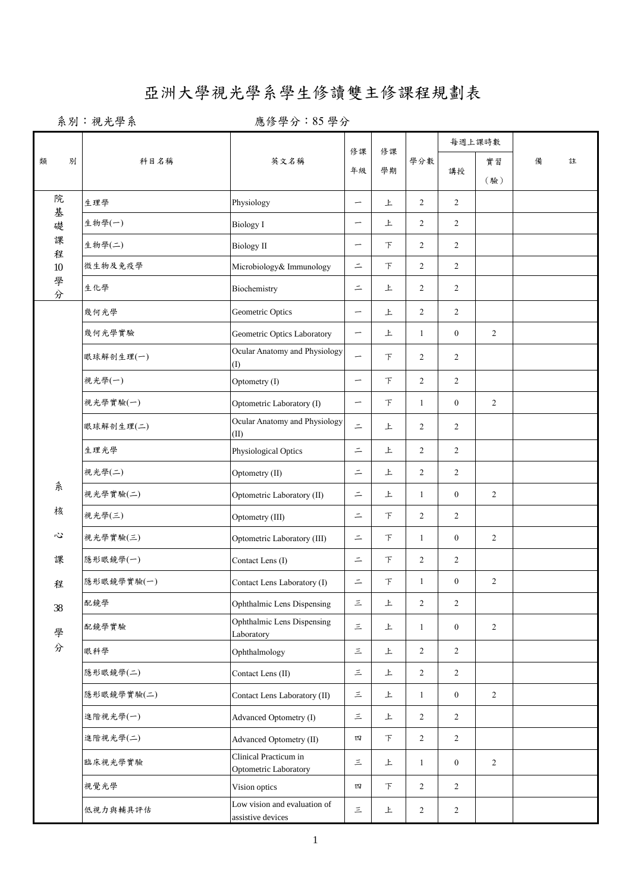## 亞洲大學視光學系學生修讀雙主修課程規劃表

系別:視光學系 第六 2000 應修學分:85學分

|        |            |                                                   |                          | 修課<br>修課<br>學分數<br>學期 |                | 每週上課時數           |                |   |   |
|--------|------------|---------------------------------------------------|--------------------------|-----------------------|----------------|------------------|----------------|---|---|
| 別<br>類 | 科目名稱       | 英文名稱                                              | 年級                       |                       |                | 講授               | 實習<br>(驗)      | 備 | 註 |
| 院<br>基 | 生理學        | Physiology                                        |                          | 上                     | $\overline{2}$ | $\overline{2}$   |                |   |   |
| 礎      | 生物學(一)     | <b>Biology I</b>                                  | —                        | 上                     | 2              | 2                |                |   |   |
| 課<br>程 | 生物學(二)     | <b>Biology</b> II                                 | -                        | $\top$                | $\overline{2}$ | $\overline{2}$   |                |   |   |
| $10\,$ | 微生物及免疫學    | Microbiology& Immunology                          | $\equiv$                 | $\top$                | $\overline{2}$ | $\overline{2}$   |                |   |   |
| 學分     | 生化學        | Biochemistry                                      | $\equiv$                 | 上                     | $\overline{2}$ | $\overline{2}$   |                |   |   |
|        | 幾何光學       | Geometric Optics                                  | $\overline{\phantom{m}}$ | 上                     | 2              | $\overline{2}$   |                |   |   |
|        | 幾何光學實驗     | Geometric Optics Laboratory                       | $\overline{\phantom{m}}$ | 上                     | $\mathbf{1}$   | $\boldsymbol{0}$ | 2              |   |   |
|        | 眼球解剖生理(一)  | Ocular Anatomy and Physiology<br>(1)              | -                        | 下                     | $\overline{2}$ | 2                |                |   |   |
|        | 視光學(一)     | Optometry (I)                                     |                          | 下                     | $\overline{2}$ | $\overline{2}$   |                |   |   |
|        | 視光學實驗(一)   | Optometric Laboratory (I)                         | -                        | 下                     | $\mathbf{1}$   | $\boldsymbol{0}$ | $\overline{2}$ |   |   |
|        | 眼球解剖生理(二)  | Ocular Anatomy and Physiology<br>(II)             | $\equiv$                 | 上                     | 2              | 2                |                |   |   |
|        | 生理光學       | Physiological Optics                              | $\bar{=}$                | 上                     | $\overline{2}$ | $\overline{2}$   |                |   |   |
|        | 視光學(二)     | Optometry (II)                                    | $\equiv$                 | 上                     | $\overline{2}$ | $\overline{2}$   |                |   |   |
| 糸      | 視光學實驗(二)   | Optometric Laboratory (II)                        | $\equiv$                 | 上                     | $\mathbf{1}$   | $\boldsymbol{0}$ | 2              |   |   |
| 核      | 視光學(三)     | Optometry (III)                                   | $\equiv$                 | 下                     | $\overline{2}$ | $\overline{2}$   |                |   |   |
| 心      | 視光學實驗(三)   | Optometric Laboratory (III)                       | $=$                      | $\top$                | $\mathbf{1}$   | $\boldsymbol{0}$ | 2              |   |   |
| 課      | 隱形眼鏡學(一)   | Contact Lens (I)                                  | $\equiv$                 | $\top$                | 2              | 2                |                |   |   |
| 程      | 隱形眼鏡學實驗(一) | Contact Lens Laboratory (I)                       | $\equiv$                 | $\top$                | $\mathbf{1}$   | $\boldsymbol{0}$ | $\overline{c}$ |   |   |
| 38     | 配鏡學        | Ophthalmic Lens Dispensing                        | $\equiv$                 | 上                     | 2              | 2                |                |   |   |
| 學      | 配鏡學實驗      | Ophthalmic Lens Dispensing<br>Laboratory          | $\equiv$                 | 上                     | $\mathbf{1}$   | $\boldsymbol{0}$ | 2              |   |   |
| 分      | 眼科學        | Ophthalmology                                     | $\equiv$                 | 上                     | $\overline{2}$ | $\overline{2}$   |                |   |   |
|        | 隱形眼鏡學(二)   | Contact Lens (II)                                 | 三                        | 上                     | $\overline{2}$ | $\overline{2}$   |                |   |   |
|        | 隱形眼鏡學實驗(二) | Contact Lens Laboratory (II)                      | $\equiv$                 | 上                     | $\mathbf{1}$   | $\boldsymbol{0}$ | $\overline{2}$ |   |   |
|        | 進階視光學(一)   | Advanced Optometry (I)                            | $\equiv$                 | 上                     | $\overline{2}$ | $\overline{2}$   |                |   |   |
|        | 進階視光學(二)   | Advanced Optometry (II)                           | 四                        | 下                     | $\overline{2}$ | $\overline{c}$   |                |   |   |
|        | 臨床視光學實驗    | Clinical Practicum in<br>Optometric Laboratory    | $\equiv$                 | 上                     | $\mathbf{1}$   | $\boldsymbol{0}$ | 2              |   |   |
|        | 視覺光學       | Vision optics                                     | 四                        | $\top$                | $\overline{c}$ | $\overline{2}$   |                |   |   |
|        | 低視力與輔具評估   | Low vision and evaluation of<br>assistive devices | $\equiv$                 | 上                     | $\overline{2}$ | $\overline{2}$   |                |   |   |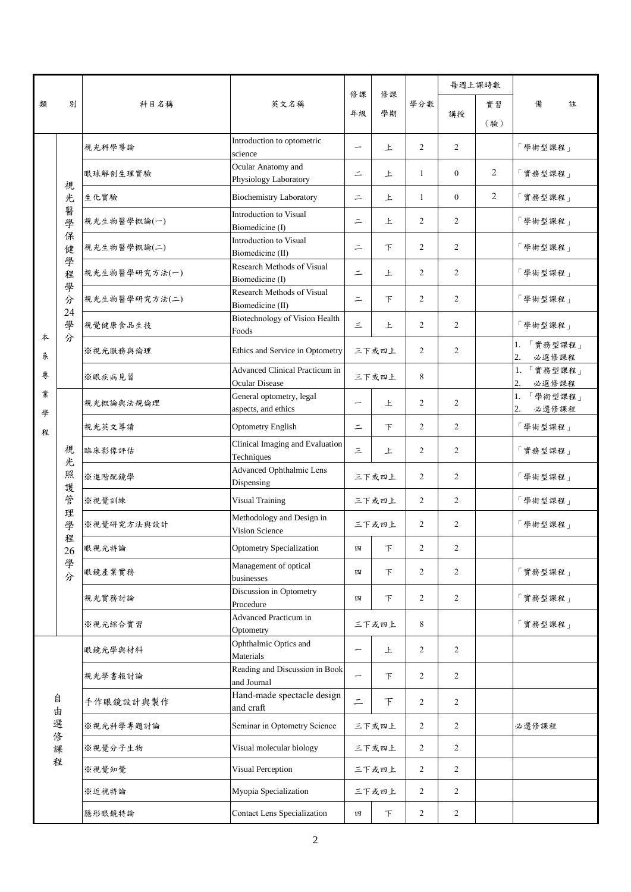|        | 別                                                              | 科目名稱          | 英文名稱                                                    | 修課<br>年級 | 修課<br>學期                                  | 學分數            | 每週上課時數         |     |                           |
|--------|----------------------------------------------------------------|---------------|---------------------------------------------------------|----------|-------------------------------------------|----------------|----------------|-----|---------------------------|
| 類      |                                                                |               |                                                         |          |                                           |                |                | 實習  | 備<br>註                    |
|        |                                                                |               |                                                         |          |                                           |                | 講授             | (驗) |                           |
|        | 視<br>光<br>醫<br>學<br>保<br>健<br>學<br>程<br>學<br>分<br>24<br>學<br>分 | 視光科學導論        | Introduction to optometric<br>science                   | —        | 上                                         | $\overline{2}$ | $\overline{2}$ |     | 「學術型課程」                   |
|        |                                                                | 眼球解剖生理實驗      | Ocular Anatomy and<br>Physiology Laboratory             | $\equiv$ | 上                                         | $\mathbf{1}$   | $\overline{0}$ | 2   | 「實務型課程」                   |
|        |                                                                | 生化實驗          | <b>Biochemistry Laboratory</b>                          | $\equiv$ | 上                                         | $\mathbf{1}$   | $\overline{0}$ | 2   | 「實務型課程」                   |
|        |                                                                | 視光生物醫學概論(一)   | Introduction to Visual<br>Biomedicine (I)               | $\equiv$ | 上                                         | 2              | 2              |     | 「學術型課程」                   |
|        |                                                                | 視光生物醫學概論(二)   | Introduction to Visual<br>Biomedicine (II)              | $=$      | $\top$                                    | $\overline{2}$ | $\overline{2}$ |     | 「學術型課程」                   |
|        |                                                                | 視光生物醫學研究方法(一) | Research Methods of Visual<br>Biomedicine (I)           | $\equiv$ | 上                                         | $\overline{2}$ | $\overline{c}$ |     | 「學術型課程」                   |
|        |                                                                | 視光生物醫學研究方法(二) | Research Methods of Visual<br>Biomedicine (II)          | $\equiv$ | 下                                         | $\overline{2}$ | $\overline{c}$ |     | 「學術型課程」                   |
| 本      |                                                                | 視覺健康食品生技      | Biotechnology of Vision Health<br>Foods                 | 三        | 上                                         | 2              | 2              |     | 「學術型課程」                   |
| 糸      |                                                                | ※視光服務與倫理      | Ethics and Service in Optometry                         |          | 三下或四上                                     | $\overline{2}$ | 2              |     | 1. 「實務型課程」<br>2.<br>必選修課程 |
| 專      |                                                                | ※眼疾病見習        | Advanced Clinical Practicum in<br><b>Ocular Disease</b> |          | 三下或四上                                     | 8              |                |     | 1. 實務型課程」<br>2.<br>必選修課程  |
| 業<br>學 | 視<br>光<br>照<br>護<br>管<br>理<br>學<br>程<br>26<br>學<br>分           | 視光概論與法規倫理     | General optometry, legal<br>aspects, and ethics         | —        | 上                                         | $\overline{2}$ | 2              |     | 1. 「學術型課程」<br>必選修課程<br>2. |
| 程      |                                                                | 視光英文導讀        | <b>Optometry English</b>                                | $\equiv$ | $\top$                                    | $\overline{2}$ | $\overline{2}$ |     | 「學術型課程」                   |
|        |                                                                | 臨床影像評估        | Clinical Imaging and Evaluation<br>Techniques           | 三        | 上                                         | $\overline{2}$ | $\overline{2}$ |     | 「實務型課程」                   |
|        |                                                                | ※進階配鏡學        | Advanced Ophthalmic Lens<br>Dispensing                  |          | 三下或四上                                     | $\overline{2}$ | $\overline{c}$ |     | 「學術型課程」                   |
|        |                                                                | ※視覺訓練         | <b>Visual Training</b>                                  | 三下或四上    |                                           | $\overline{2}$ | $\overline{c}$ |     | 「學術型課程」                   |
|        |                                                                | ※視覺研究方法與設計    | Methodology and Design in<br>Vision Science             | 三下或四上    |                                           | $\overline{2}$ | $\overline{c}$ |     | 「學術型課程」                   |
|        |                                                                | 眼視光特論         | <b>Optometry Specialization</b>                         | 四        | $\tau$                                    | $\overline{2}$ | 2              |     |                           |
|        |                                                                | 眼鏡產業實務        | Management of optical<br>businesses                     | 四        | F                                         | $\overline{2}$ | $\overline{c}$ |     | 「實務型課程」                   |
|        |                                                                | 視光實務討論        | Discussion in Optometry<br>Procedure                    | 四        | 下                                         | $\overline{2}$ | $\overline{2}$ |     | 「實務型課程」                   |
|        |                                                                | ※視光綜合實習       | Advanced Practicum in<br>Optometry                      |          | 三下或四上                                     |                |                |     | 「實務型課程」                   |
|        |                                                                | 眼鏡光學與材料       | Ophthalmic Optics and<br>Materials                      | -        | 上                                         | $\overline{2}$ | $\overline{2}$ |     |                           |
|        |                                                                | 視光學書報討論       | Reading and Discussion in Book<br>and Journal           | -        | 下                                         | $\overline{2}$ | $\overline{2}$ |     |                           |
|        | 自<br>由<br>選<br>修<br>課<br>程                                     | 手作眼鏡設計與製作     | Hand-made spectacle design<br>and craft                 | $\equiv$ | F                                         | $\overline{2}$ | $\overline{c}$ |     |                           |
|        |                                                                | ※視光科學專題討論     | Seminar in Optometry Science                            |          | 三下或四上                                     | $\overline{2}$ | $\overline{2}$ |     | 必選修課程                     |
|        |                                                                | ※視覺分子生物       | Visual molecular biology                                | 三下或四上    |                                           | $\overline{2}$ | $\overline{c}$ |     |                           |
|        |                                                                | ※視覺知覺         | Visual Perception                                       |          | 三下或四上                                     | 2              | $\overline{2}$ |     |                           |
|        |                                                                | ※近視特論         | Myopia Specialization                                   |          | $\overline{2}$<br>$\overline{2}$<br>三下或四上 |                |                |     |                           |
|        |                                                                | 隱形眼鏡特論        | <b>Contact Lens Specialization</b>                      | 四        | 下                                         | 2              | $\overline{c}$ |     |                           |